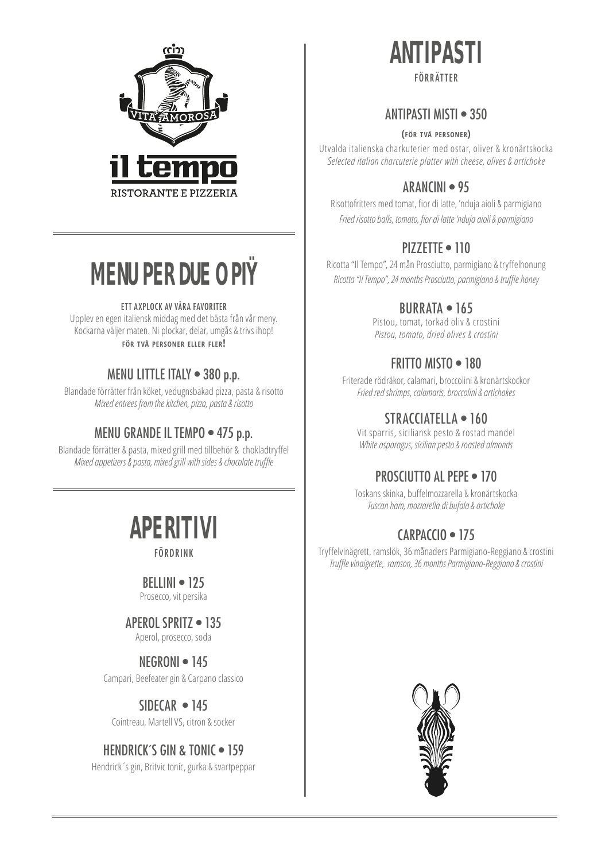

# **MENU PER DUE O PIŸ**

#### ETT AXPLOCK AV VÅRA FAVORITER

Upplev en egen italiensk middag med det bästa från vår meny. Kockarna väljer maten. Ni plockar, delar, umgås & trivs ihop! **för två personer eller fler!**

### MENU LITTLE ITALY • 380 p.p.

Blandade förrätter från köket, vedugnsbakad pizza, pasta & risotto *Mixed entrees from the kitchen, pizza, pasta & risotto*

### MENU GRANDE IL TEMPO • 475 p.p.

Blandade förrätter & pasta, mixed grill med tillbehör & chokladtryffel *Mixed appetizers & pasta, mixed grill with sides & chocolate truffle*

# **APERITIVI**

FÖRDRINK

### $BFI$  INI  $\bullet$  125

Prosecco, vit persika

### APEROL SPRITZ • 135

Aperol, prosecco, soda

## NEGRONI • 145

Campari, Beefeater gin & Carpano classico

## SIDECAR • 145

Cointreau, Martell VS, citron & socker

### HENDRICK'S GIN & TONIC . 159

Hendrick´s gin, Britvic tonic, gurka & svartpeppar

# **ANTIPASTI** FÖRRÄTTER

#### ANTIPASTI MISTI • 350

#### **(för två personer)**

Utvalda italienska charkuterier med ostar, oliver & kronärtskocka *Selected italian charcuterie platter with cheese, olives & artichoke*

## ARANCINI • 95

Risottofritters med tomat, fior di latte, 'nduja aioli & parmigiano *Fried risotto balls, tomato, fior di latte 'nduja aioli & parmigiano*

## PIZZETTE • 110

Ricotta "Il Tempo", 24 mån Prosciutto, parmigiano & tryffelhonung *Ricotta "Il Tempo", 24 months Prosciutto, parmigiano & truffle honey*

## BURRATA • 165

Pistou, tomat, torkad oliv & crostini *Pistou, tomato, dried olives & crostini*

# FRITTO MISTO • 180

Friterade rödräkor, calamari, broccolini & kronärtskockor *Fried red shrimps, calamaris, broccolini & artichokes*

## STRACCIATELLA • 160

Vit sparris, siciliansk pesto & rostad mandel *White asparagus, sicilian pesto & roasted almonds*

## PROSCIUTTO AL PEPE • 170

Toskans skinka, buffelmozzarella & kronärtskocka *Tuscan ham, mozzarella di bufala & artichoke*

## CARPACCIO • 175

Tryffelvinägrett, ramslök, 36 månaders Parmigiano-Reggiano & crostini *Truffle vinaigrette, ramson, 36 months Parmigiano-Reggiano & crostini* 

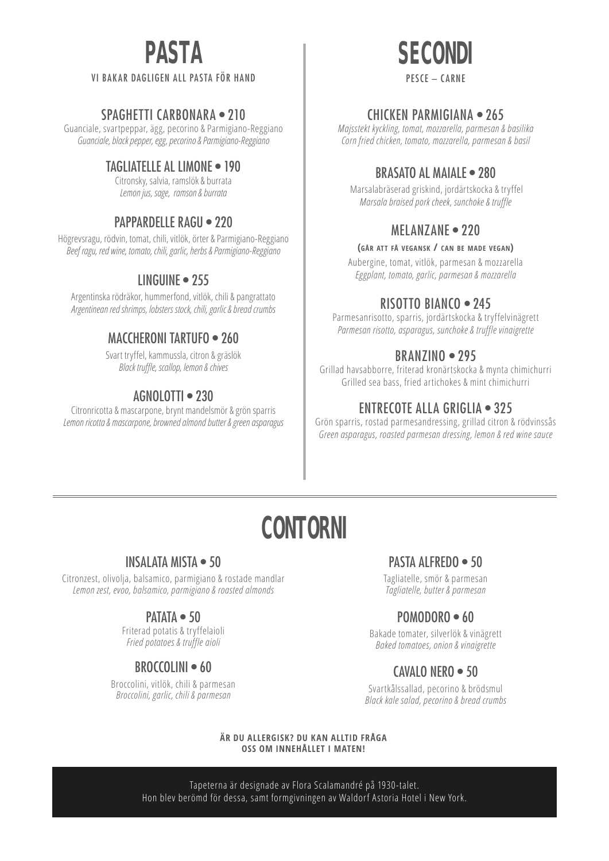# **PASTA**

#### VI BAKAR DAGLIGEN ALL PASTA FÖR HAND

#### SPAGHETTI CARBONARA • 210

Guanciale, svartpeppar, ägg, pecorino & Parmigiano-Reggiano *Guanciale, black pepper, egg, pecorino & Parmigiano-Reggiano*

### TAGLIATELLE AL LIMONE • 190

Citronsky, salvia, ramslök & burrata *Lemon jus, sage, ramson & burrata*

#### PAPPARDELLE RAGU . 220

Högrevsragu, rödvin, tomat, chili, vitlök, örter & Parmigiano-Reggiano *Beef ragu, red wine, tomato, chili, garlic, herbs & Parmigiano-Reggiano*

### LINGUINE • 255

Argentinska rödräkor, hummerfond, vitlök, chili & pangrattato *Argentinean red shrimps, lobsters stock, chili, garlic & bread crumbs*

#### MACCHERONI TARTUFO • 260

Svart tryffel, kammussla, citron & gräslök *Black truffle, scallop, lemon & chives* 

### AGNOLOTTI • 230

Citronricotta & mascarpone, brynt mandelsmör & grön sparris *Lemon ricotta & mascarpone, browned almond butter & green asparagus*



#### CHICKEN PARMIGIANA • 265

*Majsstekt kyckling, tomat, mozzarella, parmesan & basilika Corn fried chicken, tomato, mozzarella, parmesan & basil*

### BRASATO AL MAIALE • 280

Marsalabräserad griskind, jordärtskocka & tryffel *Marsala braised pork cheek, sunchoke & truffle*

#### MFI AN7ANF • 220

#### **(går att få vegansk / can be made vegan)**

Aubergine, tomat, vitlök, parmesan & mozzarella *Eggplant, tomato, garlic, parmesan & mozzarella*

#### RISOTTO BIANCO • 245

Parmesanrisotto, sparris, jordärtskocka & tryffelvinägrett *Parmesan risotto, asparagus, sunchoke & truffle vinaigrette* 

#### BRANZINO • 295

Grillad havsabborre, friterad kronärtskocka & mynta chimichurri Grilled sea bass, fried artichokes & mint chimichurri

## ENTRECOTE ALLA GRIGLIA • 325

Grön sparris, rostad parmesandressing, grillad citron & rödvinssås *Green asparagus, roasted parmesan dressing, lemon & red wine sauce*

# **CONTORNI**

#### INSALATA MISTA • 50

Citronzest, olivolja, balsamico, parmigiano & rostade mandlar *Lemon zest, evoo, balsamico, parmigiano & roasted almonds*

#### PATATA • 50

Friterad potatis & tryffelaioli *Fried potatoes & truffle aioli*

## BROCCOLINI • 60

Broccolini, vitlök, chili & parmesan *Broccolini, garlic, chili & parmesan*

### PASTA ALFREDO · 50

Tagliatelle, smör & parmesan *Tagliatelle, butter & parmesan*

## POMODORO • 60

Bakade tomater, silverlök & vinägrett *Baked tomatoes, onion & vinaigrette*

# CAVALO NERO • 50

Svartkålssallad, pecorino & brödsmul *Black kale salad, pecorino & bread crumbs*

#### **ÄR DU ALLERGISK? DU KAN ALLTID FRÅGA OSS OM INNEHÅLLET I MATEN!**

Tapeterna är designade av Flora Scalamandré på 1930-talet. Hon blev berömd för dessa, samt formgivningen av Waldorf Astoria Hotel i New York.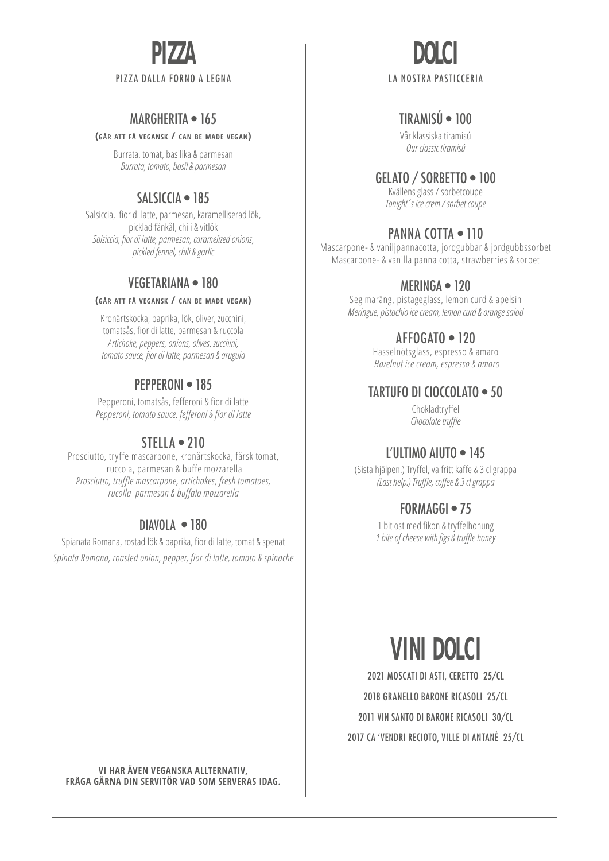# **PIZZA**

#### PIZZA DALLA FORNO A LEGNA

## MARGHERITA • 165

#### **(går att få vegansk / can be made vegan)**

Burrata, tomat, basilika & parmesan *Burrata, tomato, basil & parmesan*

### SALSICCIA • 185

Salsiccia, fior di latte, parmesan, karamelliserad lök, picklad fänkål, chili & vitlök *Salsiccia, fior di latte, parmesan, caramelized onions, pickled fennel, chili & garlic*

#### VEGETARIANA • 180

#### **(går att få vegansk / can be made vegan)**

Kronärtskocka, paprika, lök, oliver, zucchini, tomatsås, fior di latte, parmesan & ruccola *Artichoke, peppers, onions, olives, zucchini, tomato sauce, fior di latte, parmesan & arugula*

#### PEPPERONI • 185

Pepperoni, tomatsås, fefferoni & fior di latte *Pepperoni, tomato sauce, fefferoni & fior di latte* 

### $STFIIA \bullet 210$

Prosciutto, tryffelmascarpone, kronärtskocka, färsk tomat, ruccola, parmesan & buffelmozzarella *Prosciutto, truffle mascarpone, artichokes, fresh tomatoes, rucolla parmesan & buffalo mozzarella*

#### DIAVOLA • 180

Spianata Romana, rostad lök & paprika, fior di latte, tomat & spenat *Spinata Romana, roasted onion, pepper, fior di latte, tomato & spinache*

# **DOLCI** LA NOSTRA PASTICCERIA

### TIRAMISÚ • 100

Vår klassiska tiramisú *Our classic tiramisú*

#### GELATO / SORBETTO • 100

Kvällens glass / sorbetcoupe *Tonight´s ice crem / sorbet coupe*

#### PANNA COTTA · 110

Mascarpone- & vaniljpannacotta, jordgubbar & jordgubbssorbet Mascarpone- & vanilla panna cotta, strawberries & sorbet

#### MERINGA • 120

Seg maräng, pistageglass, lemon curd & apelsin *Meringue, pistachio ice cream, lemon curd & orange salad*

#### AFFOGATO • 120

Hasselnötsglass, espresso & amaro *Hazelnut ice cream, espresso & amaro*

#### TARTUFO DI CIOCCOLATO • 50

Chokladtryffel *Chocolate truffle*

### L'ULTIMO AIUTO • 145

(Sista hjälpen.) Tryffel, valfritt kaffe & 3 cl grappa *(Last help.) Truffle, coffee & 3 cl grappa*

#### FORMAGGI · 75

1 bit ost med fikon & tryffelhonung *1 bite of cheese with figs & truffle honey*

# **VINI DOLCI**

2021 MOSCATI DI ASTI, CERETTO 25/CL 2018 GRANELLO BARONE RICASOLI 25/CL 2011 VIN SANTO DI BARONE RICASOLI 30/CL 2017 CA 'VENDRI RECIOTO, VILLE DI ANTANÈ 25/CL

**VI HAR ÄVEN VEGANSKA ALLTERNATIV, FRÅGA GÄRNA DIN SERVITÖR VAD SOM SERVERAS IDAG.**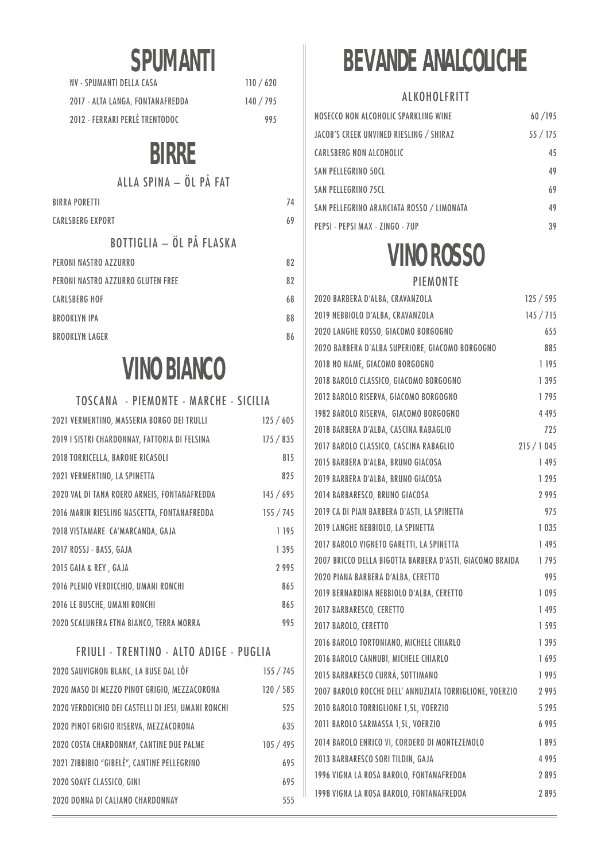# **SPUMANTI**

| NV - SPUMANTI DELLA CASA         | 110/620   |
|----------------------------------|-----------|
| 2017 - ALTA LANGA, FONTANAFREDDA | 140 / 795 |
| 2012 - FERRARI PERLÉ TRENTODOC   | 995       |

# **BIRRE**

### ALLA SPINA – ÖL PÅ FAT

| <b>BIRRA PORETTI</b>              | 74 |
|-----------------------------------|----|
| <b>CARLSBERG EXPORT</b>           | 69 |
| <b>BOTTIGLIA - ÖL PÅ FLASKA</b>   |    |
| PERONI NASTRO AZZURRO             | 82 |
| PERONI NASTRO AZZURRO GLUTEN FREE | 82 |
| <b>CARLSBERG HOF</b>              | 68 |
| <b>BROOKLYN IPA</b>               | 88 |
| <b>BROOKLYN LAGER</b>             | 86 |
|                                   |    |

# **VINO BIANCO**

## TOSCANA - PIEMONTE - MARCHE - SICILIA 2021 VERMENTINO, MASSERIA BORGO DEI TRULLI 125 / 605 2019 I SISTRI CHARDONNAY, FATTORIA DI FELSINA 175 / 835 2018 TORRICELLA, BARONE RICASOLI 815 2021 VERMENTINO, LA SPINETTA 825 2020 VAL DI TANA ROERO ARNEIS, FONTANAFREDDA 145 / 695 2016 MARIN RIESLING NASCETTA, FONTANAFREDDA 155 / 745 2018 VISTAMARE CA'MARCANDA, GAJA 1 195 2017 ROSSJ - BASS, GAJA 1 395 2015 GAIA & REY , GAJA 2 995 2016 PLENIO VERDICCHIO, UMANI RONCHI 865 2016 LE BUSCHE, UMANI RONCHI 865 2020 SCALUNERA ETNA BIANCO, TERRA MORRA 995

#### FRIULI - TRENTINO - ALTO ADIGE - PUGLIA

| 2020 SAUVIGNON BLANC, LA BUSE DAL LÔF              | 155 / 745 |
|----------------------------------------------------|-----------|
| 2020 MASO DI MEZZO PINOT GRIGIO, MEZZACORONA       | 120 / 585 |
| 2020 VERDDICHIO DEI CASTELLI DI JESI, UMANI RONCHI | 525       |
| 2020 PINOT GRIGIO RISERVA, MEZZACORONA             | 635       |
| 2020 COSTA CHARDONNAY, CANTINE DUE PALME           | 105 / 495 |
| 2021 ZIBBIBIO "GIBELÈ", CANTINE PELLEGRINO         | 695       |
| 2020 SOAVE CLASSICO, GINI                          | 695       |
| 2020 DONNA DI CALIANO CHARDONNAY                   | 555       |

# **BEVANDE ANALCOLICHE**

#### **ALKOHOLFRITT**

| NOSECCO NON ALCOHOLIC SPARKLING WINE      | 60/195 |
|-------------------------------------------|--------|
| JACOB'S CREEK UNVINED RIESLING / SHIRAZ   | 55/175 |
| CARLSBERG NON ALCOHOLIC                   | 45     |
| <b>SAN PELLEGRINO 50CL</b>                | 49     |
| <b>SAN PELLEGRINO 75CL</b>                | 69     |
| SAN PELLEGRINO ARANCIATA ROSSO / LIMONATA | 49     |
| PEPSI - PEPSI MAX - ZINGO - 7UP           | 39     |

# **VINO ROSSO** PIEMONTE

| 2020 BARBERA D'ALBA, CRAVANZOLA                          | 125/595    |         |
|----------------------------------------------------------|------------|---------|
| 2019 NEBBIOLO D'ALBA, CRAVANZOLA                         | 145 / 715  |         |
| 2020 LANGHE ROSSO, GIACOMO BORGOGNO                      |            | 655     |
| 2020 BARBERA D'ALBA SUPERIORE, GIACOMO BORGOGNO          |            | 885     |
| 2018 NO NAME, GIACOMO BORGOGNO                           |            | 1 195   |
| 2018 BAROLO CLASSICO, GIACOMO BORGOGNO                   |            | 1 3 9 5 |
| 2012 BAROLO RISERVA, GIACOMO BORGOGNO                    |            | 1795    |
| 1982 BAROLO RISERVA, GIACOMO BORGOGNO                    |            | 4 4 9 5 |
| 2018 BARBERA D'ALBA, CASCINA RABAGLIO                    |            | 725     |
| 2017 BAROLO CLASSICO, CASCINA RABAGLIO                   | 215 / 1045 |         |
| 2015 BARBERA D'ALBA, BRUNO GIACOSA                       |            | 1495    |
| 2019 BARBERA D'ALBA, BRUNO GIACOSA                       |            | 1 2 9 5 |
| 2014 BARBARESCO, BRUNO GIACOSA                           |            | 2995    |
| 2019 CA DI PIAN BARBERA D'ASTI, LA SPINETTA              |            | 975     |
| 2019 LANGHE NEBBIOLO, LA SPINETTA                        |            | 1 0 3 5 |
| 2017 BAROLO VIGNETO GARETTI, LA SPINETTA                 |            | 1495    |
| 2007 BRICCO DELLA BIGOTTA BARBERA D'ASTI, GIACOMO BRAIDA |            | 1795    |
| 2020 PIANA BARBERA D'ALBA, CERETTO                       |            | 995     |
| 2019 BERNARDINA NEBBIOLO D'ALBA, CERETTO                 |            | 1095    |
| 2017 BARBARESCO, CERETTO                                 |            | 1495    |
| 2017 BAROLO, CERETTO                                     |            | 1 5 9 5 |
| 2016 BAROLO TORTONIANO, MICHELE CHIARLO                  |            | 1 3 9 5 |
| 2016 BAROLO CANNUBI, MICHELE CHIARLO                     |            | 1695    |
| 2015 BARBARESCO CURRÀ, SOTTIMANO                         |            | 1995    |
| 2007 BAROLO ROCCHE DELL' ANNUZIATA TORRIGLIONE, VOERZIO  |            | 2995    |
| 2010 BAROLO TORRIGLIONE 1,5L, VOERZIO                    |            | 5 2 9 5 |
| 2011 BAROLO SARMASSA 1,5L, VOERZIO                       |            | 6995    |
| 2014 BAROLO ENRICO VI, CORDERO DI MONTEZEMOLO            |            | 1895    |
| 2013 BARBARESCO SORI TILDIN, GAJA                        |            | 4995    |
| 1996 VIGNA LA ROSA BAROLO, FONTANAFREDDA                 |            | 2895    |
| 1998 VIGNA LA ROSA BAROLO, FONTANAFREDDA                 |            | 2895    |
|                                                          |            |         |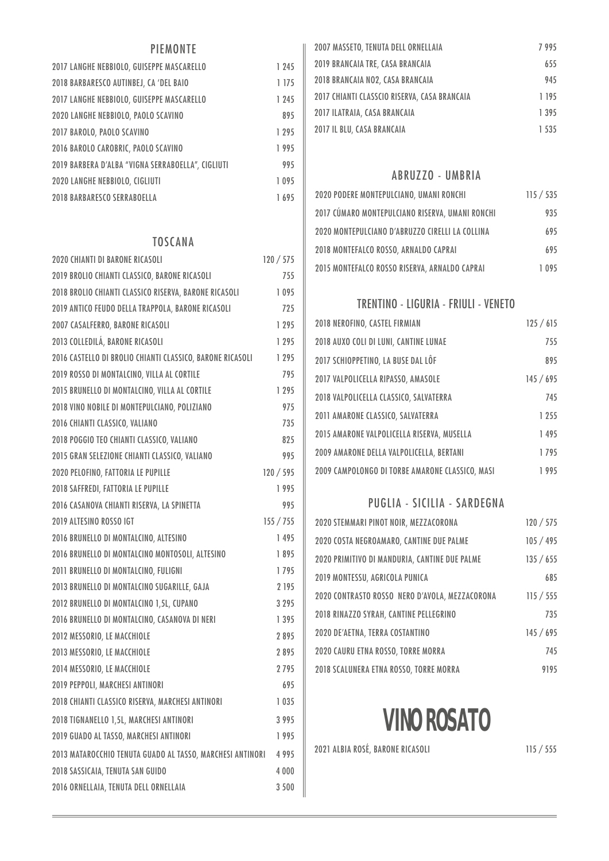### PIEMONTE

| 2017 LANGHE NEBBIOLO, GUISEPPE MASCARELLO         | 1 245   |
|---------------------------------------------------|---------|
| 2018 BARBARESCO AUTINBEJ, CA 'DEL BAIO            | 1 175   |
| 2017 LANGHE NEBBIOLO, GUISEPPE MASCARELLO         | 1 2 4 5 |
| 2020 LANGHE NEBBIOLO, PAOLO SCAVINO               | 895     |
| 2017 BAROLO, PAOLO SCAVINO                        | 1 2 9 5 |
| 2016 BAROLO CAROBRIC, PAOLO SCAVINO               | 1995    |
| 2019 BARBERA D'ALBA "VIGNA SERRABOELLA". CIGLIUTI | 995     |
| <b>2020 LANGHE NEBBIOLO, CIGLIUTI</b>             | 1095    |
| <b>2018 BARBARESCO SERRABOELLA</b>                | 1695    |

#### **TOSCANA**

| <b>2020 CHIANTI DI BARONE RICASOLI</b>                    | 120 / 575 |
|-----------------------------------------------------------|-----------|
| 2019 BROLIO CHIANTI CLASSICO, BARONE RICASOLI             | 755       |
| 2018 BROLIO CHIANTI CLASSICO RISERVA, BARONE RICASOLI     | 1095      |
| 2019 ANTICO FEUDO DELLA TRAPPOLA, BARONE RICASOLI         | 725       |
| 2007 CASALFERRO, BARONE RICASOLI                          | 1 2 9 5   |
| 2013 COLLEDILÁ, BARONE RICASOLI                           | 1 2 9 5   |
| 2016 CASTELLO DI BROLIO CHIANTI CLASSICO, BARONE RICASOLI | 1 295     |
| 2019 ROSSO DI MONTALCINO, VILLA AL CORTILE                | 795       |
| 2015 BRUNELLO DI MONTALCINO, VILLA AL CORTILE             | 1 2 9 5   |
| 2018 VINO NOBILE DI MONTEPULCIANO, POLIZIANO              | 975       |
| 2016 CHIANTI CLASSICO, VALIANO                            | 735       |
| 2018 POGGIO TEO CHIANTI CLASSICO, VALIANO                 | 825       |
| 2015 GRAN SELEZIONE CHIANTI CLASSICO, VALIANO             | 995       |
| 2020 PELOFINO, FATTORIA LE PUPILLE                        | 120 / 595 |
| 2018 SAFFREDI, FATTORIA LE PUPILLE                        | 1995      |
| 2016 CASANOVA CHIANTI RISERVA, LA SPINETTA                | 995       |
| 2019 ALTESINO ROSSO IGT                                   | 155 / 755 |
| 2016 BRUNELLO DI MONTALCINO, ALTESINO                     | 1 495     |
| 2016 BRUNELLO DI MONTALCINO MONTOSOLI, ALTESINO           | 1895      |
| 2011 BRUNELLO DI MONTALCINO, FULIGNI                      | 1795      |
| 2013 BRUNELLO DI MONTALCINO SUGARILLE, GAJA               | 2 195     |
| 2012 BRUNELLO DI MONTALCINO 1,5L, CUPANO                  | 3 2 9 5   |
| 2016 BRUNELLO DI MONTALCINO, CASANOVA DI NERI             | 1 3 9 5   |
| 2012 MESSORIO, LE MACCHIOLE                               | 2895      |
| 2013 MESSORIO, LE MACCHIOLE                               | 2895      |
| 2014 MESSORIO, LE MACCHIOLE                               | 2795      |
| 2019 PEPPOLI, MARCHESI ANTINORI                           | 695       |
| 2018 CHIANTI CLASSICO RISERVA, MARCHESI ANTINORI          | 1 0 3 5   |
| 2018 TIGNANELLO 1,5L, MARCHESI ANTINORI                   | 3995      |
| 2019 GUADO AL TASSO, MARCHESI ANTINORI                    | 1995      |
| 2013 MATAROCCHIO TENUTA GUADO AL TASSO, MARCHESI ANTINORI | 4995      |
| 2018 SASSICAIA, TENUTA SAN GUIDO                          | 4 0 0 0   |
| 2016 ORNELLAIA, TENUTA DELL ORNELLAIA                     | 3500      |
|                                                           |           |

| 2007 MASSETO, TENUTA DELL ORNELLAIA          | 7995    |
|----------------------------------------------|---------|
| 2019 BRANCAIA TRE, CASA BRANCAIA             | 655     |
| 2018 BRANCAIA NO2, CASA BRANCAIA             | 945     |
| 2017 CHIANTI CLASSCIO RISERVA, CASA BRANCAIA | 1 195   |
| 2017 ILATRAIA, CASA BRANCAIA                 | 1 3 9 5 |
| 2017 IL BLU, CASA BRANCAIA                   | 1 535   |

#### ABRUZZO - UMBRIA

| 2020 PODERE MONTEPULCIANO, UMANI RONCHI         | 115 / 535 |
|-------------------------------------------------|-----------|
| 2017 CÚMARO MONTEPULCIANO RISERVA, UMANI RONCHI | 935       |
| 2020 MONTEPULCIANO D'ABRUZZO CIRELLI LA COLLINA | 695       |
| 2018 MONTEFALCO ROSSO, ARNALDO CAPRAI           | 695       |
| 2015 MONTEFALCO ROSSO RISERVA, ARNALDO CAPRAI   | 1095      |

#### TRENTINO - LIGURIA - FRIULI - VENETO

| 2018 NEROFINO, CASTEL FIRMIAN                   | 125/615 |
|-------------------------------------------------|---------|
| 2018 AUXO COLI DI LUNI, CANTINE LUNAE           | 755     |
| 2017 SCHIOPPETINO, LA BUSE DAL LÔF              | 895     |
| 2017 VALPOLICELLA RIPASSO, AMASOLE              | 145/695 |
| 2018 VALPOLICELLA CLASSICO, SALVATERRA          | 745     |
| 2011 AMARONE CLASSICO, SALVATERRA               | 1 2 5 5 |
| 2015 AMARONE VALPOLICELLA RISERVA, MUSELLA      | 1495    |
| 2009 AMARONE DELLA VALPOLICELLA, BERTANI        | 1795    |
| 2009 CAMPOLONGO DI TORBE AMARONE CLASSICO, MASI | 1995    |

#### PUGLIA - SICILIA - SARDEGNA

| 2020 STEMMARI PINOT NOIR, MEZZACORONA          | 120 / 575 |
|------------------------------------------------|-----------|
| 2020 COSTA NEGROAMARO, CANTINE DUE PALME       | 105 / 495 |
| 2020 PRIMITIVO DI MANDURIA, CANTINE DUE PALME  | 135 / 655 |
| 2019 MONTESSU, AGRICOLA PUNICA                 | 685       |
| 2020 CONTRASTO ROSSO NERO D'AVOLA, MEZZACORONA | 115 / 555 |
| 2018 RINAZZO SYRAH, CANTINE PELLEGRINO         | 735       |
| 2020 DE'AETNA, TERRA COSTANTINO                | 145/695   |
| 2020 CAURU ETNA ROSSO, TORRE MORRA             | 745       |
| 2018 SCALUNERA ETNA ROSSO, TORRE MORRA         | 9195      |

# **VINO ROSATO**

2021 ALBIA ROSÉ, BARONE RICASOLI 115 / 555